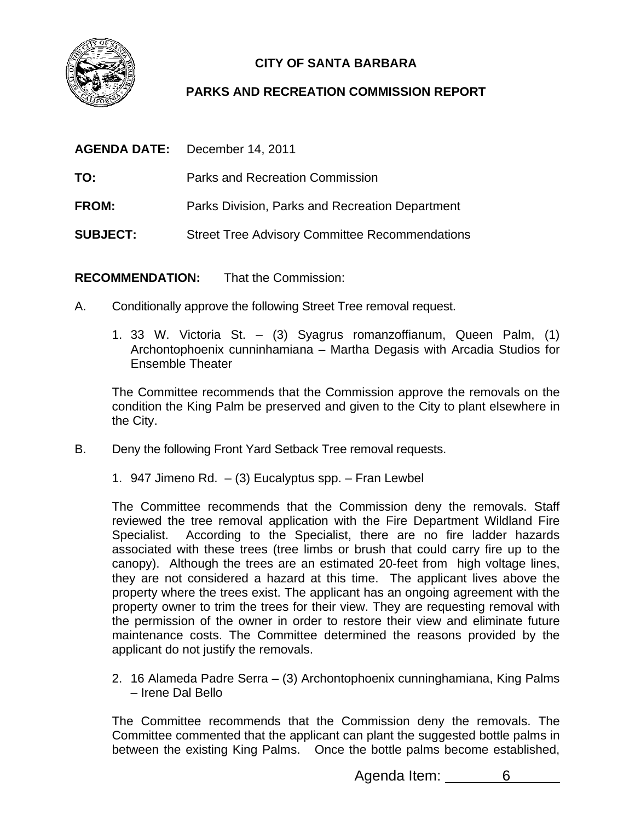

## **CITY OF SANTA BARBARA**

## **PARKS AND RECREATION COMMISSION REPORT**

| <b>AGENDA DATE:</b> | December 14, 2011                                     |
|---------------------|-------------------------------------------------------|
| TO:                 | Parks and Recreation Commission                       |
| <b>FROM:</b>        | Parks Division, Parks and Recreation Department       |
| <b>SUBJECT:</b>     | <b>Street Tree Advisory Committee Recommendations</b> |

**RECOMMENDATION:** That the Commission:

- A. Conditionally approve the following Street Tree removal request.
	- 1. 33 W. Victoria St. (3) Syagrus romanzoffianum, Queen Palm, (1) Archontophoenix cunninhamiana – Martha Degasis with Arcadia Studios for Ensemble Theater

The Committee recommends that the Commission approve the removals on the condition the King Palm be preserved and given to the City to plant elsewhere in the City.

- B. Deny the following Front Yard Setback Tree removal requests.
	- 1. 947 Jimeno Rd. (3) Eucalyptus spp. Fran Lewbel

The Committee recommends that the Commission deny the removals. Staff reviewed the tree removal application with the Fire Department Wildland Fire Specialist. According to the Specialist, there are no fire ladder hazards associated with these trees (tree limbs or brush that could carry fire up to the canopy). Although the trees are an estimated 20-feet from high voltage lines, they are not considered a hazard at this time. The applicant lives above the property where the trees exist. The applicant has an ongoing agreement with the property owner to trim the trees for their view. They are requesting removal with the permission of the owner in order to restore their view and eliminate future maintenance costs. The Committee determined the reasons provided by the applicant do not justify the removals.

2. 16 Alameda Padre Serra – (3) Archontophoenix cunninghamiana, King Palms – Irene Dal Bello

The Committee recommends that the Commission deny the removals. The Committee commented that the applicant can plant the suggested bottle palms in between the existing King Palms. Once the bottle palms become established,

Agenda Item: 6